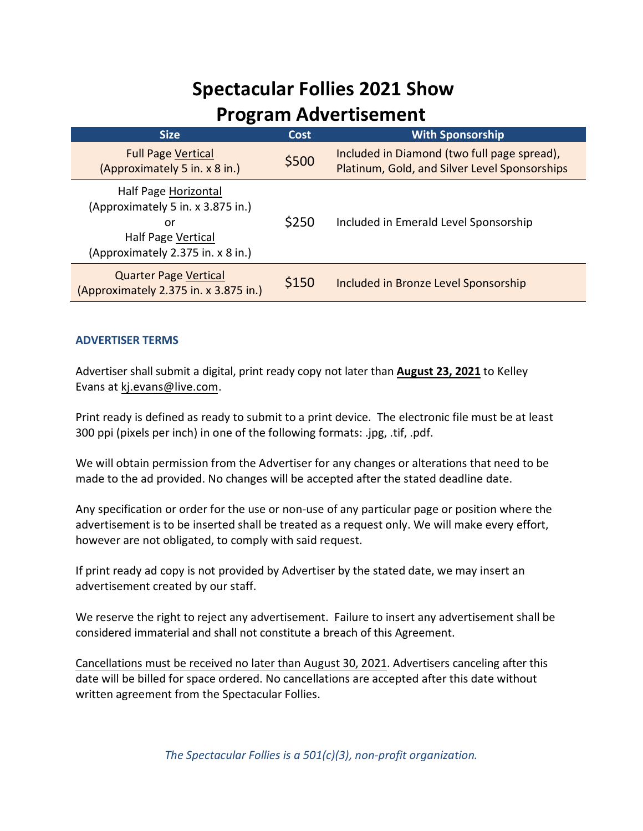### **Spectacular Follies 2021 Show Program Advertisement**

| <b>Size</b>                                                                                                                | Cost  | <b>With Sponsorship</b>                                                                      |
|----------------------------------------------------------------------------------------------------------------------------|-------|----------------------------------------------------------------------------------------------|
| <b>Full Page Vertical</b><br>(Approximately 5 in. x 8 in.)                                                                 | \$500 | Included in Diamond (two full page spread),<br>Platinum, Gold, and Silver Level Sponsorships |
| Half Page Horizontal<br>(Approximately 5 in. x 3.875 in.)<br>or<br>Half Page Vertical<br>(Approximately 2.375 in. x 8 in.) | \$250 | Included in Emerald Level Sponsorship                                                        |
| <b>Quarter Page Vertical</b><br>(Approximately 2.375 in. x 3.875 in.)                                                      | \$150 | Included in Bronze Level Sponsorship                                                         |

#### **ADVERTISER TERMS**

Advertiser shall submit a digital, print ready copy not later than **August 23, 2021** to Kelley Evans at kj.evans@live.com.

Print ready is defined as ready to submit to a print device. The electronic file must be at least 300 ppi (pixels per inch) in one of the following formats: .jpg, .tif, .pdf.

We will obtain permission from the Advertiser for any changes or alterations that need to be made to the ad provided. No changes will be accepted after the stated deadline date.

Any specification or order for the use or non-use of any particular page or position where the advertisement is to be inserted shall be treated as a request only. We will make every effort, however are not obligated, to comply with said request.

If print ready ad copy is not provided by Advertiser by the stated date, we may insert an advertisement created by our staff.

We reserve the right to reject any advertisement. Failure to insert any advertisement shall be considered immaterial and shall not constitute a breach of this Agreement.

Cancellations must be received no later than August 30, 2021. Advertisers canceling after this date will be billed for space ordered. No cancellations are accepted after this date without written agreement from the Spectacular Follies.

*The Spectacular Follies is a 501(c)(3), non-profit organization.*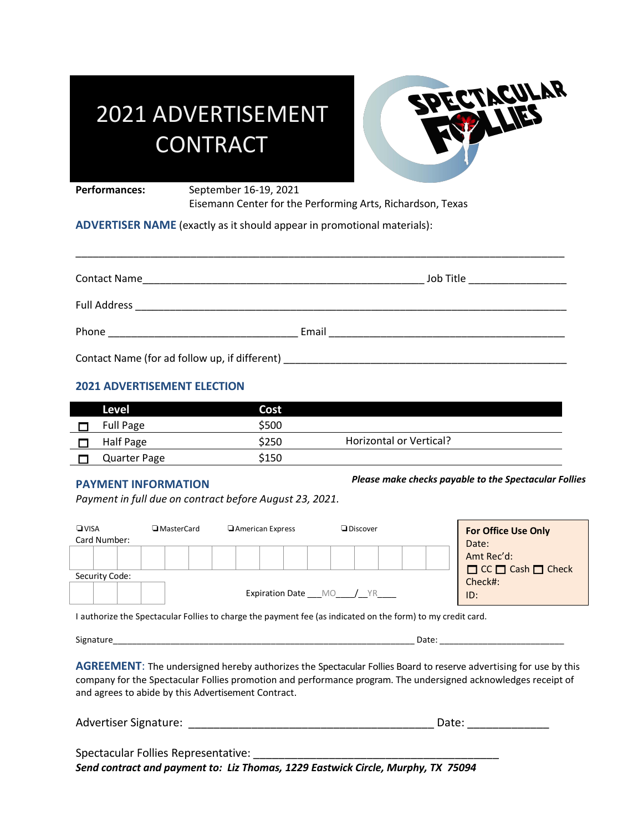# 2021 ADVERTISEMENT **CONTRACT**



Performances: September 16-19, 2021

Eisemann Center for the Performing Arts, Richardson, Texas

**ADVERTISER NAME** (exactly as it should appear in promotional materials):

| <b>Contact Name</b><br><u> 1989 - Johann John Stoff, deutscher Stoff und der Stoff und der Stoff und der Stoff und der Stoff und der Stoff</u> |       | Job Title ___________________ |
|------------------------------------------------------------------------------------------------------------------------------------------------|-------|-------------------------------|
| Full Address                                                                                                                                   |       |                               |
| Phone                                                                                                                                          | Email |                               |
| Contact Name (for ad follow up, if different) ___________________________________                                                              |       |                               |

\_\_\_\_\_\_\_\_\_\_\_\_\_\_\_\_\_\_\_\_\_\_\_\_\_\_\_\_\_\_\_\_\_\_\_\_\_\_\_\_\_\_\_\_\_\_\_\_\_\_\_\_\_\_\_\_\_\_\_\_\_\_\_\_\_\_\_\_\_\_\_\_\_\_\_\_\_\_\_\_\_\_\_\_\_

#### **2021 ADVERTISEMENT ELECTION**

| Level               | Cost  |                         |
|---------------------|-------|-------------------------|
| Full Page           | \$500 |                         |
| Half Page           | \$250 | Horizontal or Vertical? |
| <b>Quarter Page</b> | \$150 |                         |

#### **PAYMENT INFORMATION**

*Please make checks payable to the Spectacular Follies*

*Payment in full due on contract before August 23, 2021.*

| Card Number:                                     | Date:                           |
|--------------------------------------------------|---------------------------------|
|                                                  | Amt Rec'd:<br>CC C Cash C Check |
| Security Code:<br><b>Expiration Date</b> MO / YR | Check#:<br>ID:                  |

I authorize the Spectacular Follies to charge the payment fee (as indicated on the form) to my credit card.

Signature\_\_\_\_\_\_\_\_\_\_\_\_\_\_\_\_\_\_\_\_\_\_\_\_\_\_\_\_\_\_\_\_\_\_\_\_\_\_\_\_\_\_\_\_\_\_\_\_\_\_\_\_\_\_\_\_\_\_\_\_\_\_\_ Date: \_\_\_\_\_\_\_\_\_\_\_\_\_\_\_\_\_\_\_\_\_\_\_\_\_\_

**AGREEMENT**: The undersigned hereby authorizes the Spectacular Follies Board to reserve advertising for use by this company for the Spectacular Follies promotion and performance program. The undersigned acknowledges receipt of and agrees to abide by this Advertisement Contract.

| <b>Advertiser Signature:</b> | Date: |  |
|------------------------------|-------|--|
|                              |       |  |

Spectacular Follies Representative: \_\_\_\_\_\_\_\_\_\_\_\_\_\_\_\_\_\_\_\_\_\_\_\_\_\_\_\_\_\_\_\_\_\_\_\_\_\_\_ *Send contract and payment to: Liz Thomas, 1229 Eastwick Circle, Murphy, TX 75094*